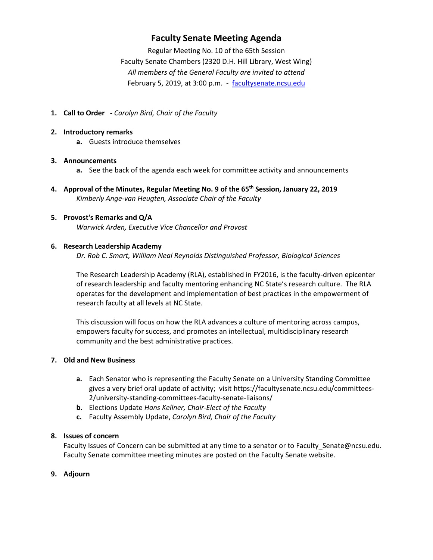# **Faculty Senate Meeting Agenda**

Regular Meeting No. 10 of the 65th Session Faculty Senate Chambers (2320 D.H. Hill Library, West Wing) *All members of the General Faculty are invited to attend* February 5, 2019, at 3:00 p.m. - [facultysenate.ncsu.edu](https://facultysenate.ncsu.edu/)

**1. Call to Order -** *Carolyn Bird, Chair of the Faculty*

## **2. Introductory remarks**

**a.** Guests introduce themselves

# **3. Announcements**

- **a.** See the back of the agenda each week for committee activity and announcements
- **4. Approval of the Minutes, Regular Meeting No. 9 of the 65th Session, January 22, 2019** *Kimberly Ange-van Heugten, Associate Chair of the Faculty*

#### **5. Provost's Remarks and Q/A** *Warwick Arden, Executive Vice Chancellor and Provost*

#### **6. Research Leadership Academy**

*Dr. Rob C. Smart, William Neal Reynolds Distinguished Professor, Biological Sciences*

The Research Leadership Academy (RLA), established in FY2016, is the faculty-driven epicenter of research leadership and faculty mentoring enhancing NC State's research culture. The RLA operates for the development and implementation of best practices in the empowerment of research faculty at all levels at NC State.

This discussion will focus on how the RLA advances a culture of mentoring across campus, empowers faculty for success, and promotes an intellectual, multidisciplinary research community and the best administrative practices.

#### **7. Old and New Business**

- **a.** Each Senator who is representing the Faculty Senate on a University Standing Committee gives a very brief oral update of activity; visit https://facultysenate.ncsu.edu/committees-2/university-standing-committees-faculty-senate-liaisons/
- **b.** Elections Update *Hans Kellner, Chair-Elect of the Faculty*
- **c.** Faculty Assembly Update, *Carolyn Bird, Chair of the Faculty*

#### **8. Issues of concern**

Faculty Issues of Concern can be submitted at any time to a senator or to Faculty\_Senate@ncsu.edu. Faculty Senate committee meeting minutes are posted on the Faculty Senate website.

#### **9. Adjourn**